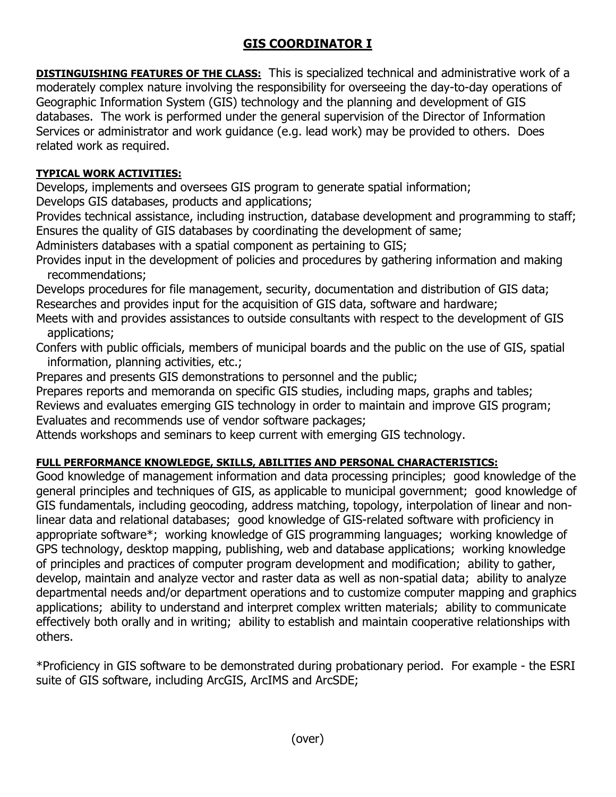## **GIS COORDINATOR I**

**DISTINGUISHING FEATURES OF THE CLASS:** This is specialized technical and administrative work of a moderately complex nature involving the responsibility for overseeing the day-to-day operations of Geographic Information System (GIS) technology and the planning and development of GIS databases. The work is performed under the general supervision of the Director of Information Services or administrator and work guidance (e.g. lead work) may be provided to others. Does related work as required.

## **TYPICAL WORK ACTIVITIES:**

Develops, implements and oversees GIS program to generate spatial information;

Develops GIS databases, products and applications;

Provides technical assistance, including instruction, database development and programming to staff; Ensures the quality of GIS databases by coordinating the development of same;

Administers databases with a spatial component as pertaining to GIS;

Provides input in the development of policies and procedures by gathering information and making recommendations;

Develops procedures for file management, security, documentation and distribution of GIS data; Researches and provides input for the acquisition of GIS data, software and hardware;

Meets with and provides assistances to outside consultants with respect to the development of GIS applications;

Confers with public officials, members of municipal boards and the public on the use of GIS, spatial information, planning activities, etc.;

Prepares and presents GIS demonstrations to personnel and the public;

Prepares reports and memoranda on specific GIS studies, including maps, graphs and tables;

Reviews and evaluates emerging GIS technology in order to maintain and improve GIS program;

Evaluates and recommends use of vendor software packages;

Attends workshops and seminars to keep current with emerging GIS technology.

## **FULL PERFORMANCE KNOWLEDGE, SKILLS, ABILITIES AND PERSONAL CHARACTERISTICS:**

Good knowledge of management information and data processing principles; good knowledge of the general principles and techniques of GIS, as applicable to municipal government; good knowledge of GIS fundamentals, including geocoding, address matching, topology, interpolation of linear and nonlinear data and relational databases; good knowledge of GIS-related software with proficiency in appropriate software\*; working knowledge of GIS programming languages; working knowledge of GPS technology, desktop mapping, publishing, web and database applications; working knowledge of principles and practices of computer program development and modification; ability to gather, develop, maintain and analyze vector and raster data as well as non-spatial data; ability to analyze departmental needs and/or department operations and to customize computer mapping and graphics applications; ability to understand and interpret complex written materials; ability to communicate effectively both orally and in writing; ability to establish and maintain cooperative relationships with others.

\*Proficiency in GIS software to be demonstrated during probationary period. For example - the ESRI suite of GIS software, including ArcGIS, ArcIMS and ArcSDE;